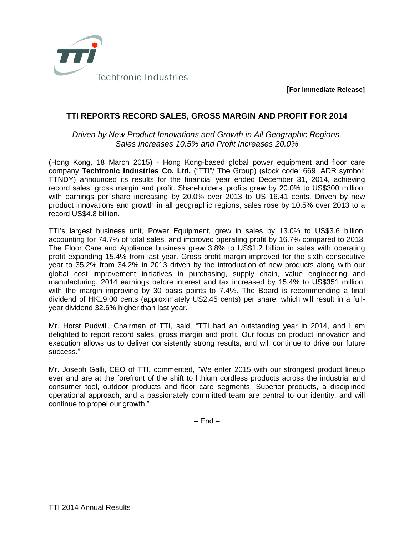

**[For Immediate Release]**

## **TTI REPORTS RECORD SALES, GROSS MARGIN AND PROFIT FOR 2014**

## *Driven by New Product Innovations and Growth in All Geographic Regions, Sales Increases 10.5% and Profit Increases 20.0%*

(Hong Kong, 18 March 2015) - Hong Kong-based global power equipment and floor care company **Techtronic Industries Co. Ltd.** ("TTI"/ The Group) (stock code: 669, ADR symbol: TTNDY) announced its results for the financial year ended December 31, 2014, achieving record sales, gross margin and profit. Shareholders' profits grew by 20.0% to US\$300 million, with earnings per share increasing by 20.0% over 2013 to US 16.41 cents. Driven by new product innovations and growth in all geographic regions, sales rose by 10.5% over 2013 to a record US\$4.8 billion.

TTI's largest business unit, Power Equipment, grew in sales by 13.0% to US\$3.6 billion, accounting for 74.7% of total sales, and improved operating profit by 16.7% compared to 2013. The Floor Care and Appliance business grew 3.8% to US\$1.2 billion in sales with operating profit expanding 15.4% from last year. Gross profit margin improved for the sixth consecutive year to 35.2% from 34.2% in 2013 driven by the introduction of new products along with our global cost improvement initiatives in purchasing, supply chain, value engineering and manufacturing. 2014 earnings before interest and tax increased by 15.4% to US\$351 million, with the margin improving by 30 basis points to 7.4%. The Board is recommending a final dividend of HK19.00 cents (approximately US2.45 cents) per share, which will result in a fullyear dividend 32.6% higher than last year.

Mr. Horst Pudwill, Chairman of TTI, said, "TTI had an outstanding year in 2014, and I am delighted to report record sales, gross margin and profit. Our focus on product innovation and execution allows us to deliver consistently strong results, and will continue to drive our future success."

Mr. Joseph Galli, CEO of TTI, commented, "We enter 2015 with our strongest product lineup ever and are at the forefront of the shift to lithium cordless products across the industrial and consumer tool, outdoor products and floor care segments. Superior products, a disciplined operational approach, and a passionately committed team are central to our identity, and will continue to propel our growth."

 $-$  End  $-$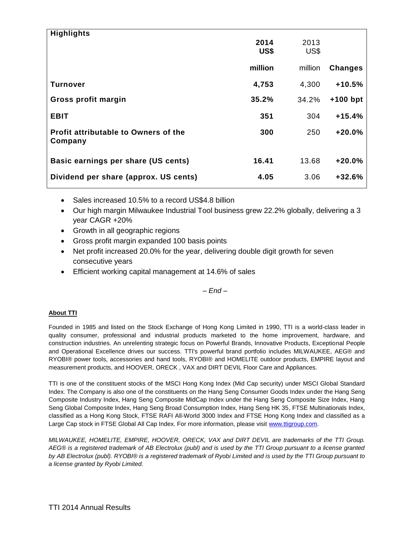| <b>Highlights</b>                               |         |         |                |
|-------------------------------------------------|---------|---------|----------------|
|                                                 | 2014    | 2013    |                |
|                                                 | US\$    | US\$    |                |
|                                                 | million | million | <b>Changes</b> |
| Turnover                                        | 4,753   | 4,300   | $+10.5%$       |
| Gross profit margin                             | 35.2%   | 34.2%   | $+100$ bpt     |
| <b>EBIT</b>                                     | 351     | 304     | $+15.4%$       |
| Profit attributable to Owners of the<br>Company | 300     | 250     | $+20.0%$       |
| Basic earnings per share (US cents)             | 16.41   | 13.68   | $+20.0%$       |
| Dividend per share (approx. US cents)           | 4.05    | 3.06    | $+32.6%$       |

- Sales increased 10.5% to a record US\$4.8 billion
- Our high margin Milwaukee Industrial Tool business grew 22.2% globally, delivering a 3 year CAGR +20%
- Growth in all geographic regions
- Gross profit margin expanded 100 basis points
- Net profit increased 20.0% for the year, delivering double digit growth for seven consecutive years
- Efficient working capital management at 14.6% of sales

*– End –*

## **About TTI**

Founded in 1985 and listed on the Stock Exchange of Hong Kong Limited in 1990, TTI is a world-class leader in quality consumer, professional and industrial products marketed to the home improvement, hardware, and construction industries. An unrelenting strategic focus on Powerful Brands, Innovative Products, Exceptional People and Operational Excellence drives our success. TTI's powerful brand portfolio includes MILWAUKEE, AEG® and RYOBI® power tools, accessories and hand tools, RYOBI® and HOMELITE outdoor products, EMPIRE layout and measurement products, and HOOVER, ORECK , VAX and DIRT DEVIL Floor Care and Appliances.

TTI is one of the constituent stocks of the MSCI Hong Kong Index (Mid Cap security) under MSCI Global Standard Index. The Company is also one of the constituents on the Hang Seng Consumer Goods Index under the Hang Seng Composite Industry Index, Hang Seng Composite MidCap Index under the Hang Seng Composite Size Index, Hang Seng Global Composite Index, Hang Seng Broad Consumption Index, Hang Seng HK 35, FTSE Multinationals Index, classified as a Hong Kong Stock, FTSE RAFI All-World 3000 Index and FTSE Hong Kong Index and classified as a Large Cap stock in FTSE Global All Cap Index. For more information, please visit [www.ttigroup.com.](http://www.ttigroup.com/)

*MILWAUKEE, HOMELITE, EMPIRE, HOOVER, ORECK, VAX and DIRT DEVIL are trademarks of the TTI Group. AEG® is a registered trademark of AB Electrolux (publ) and is used by the TTI Group pursuant to a license granted by AB Electrolux (publ). RYOBI® is a registered trademark of Ryobi Limited and is used by the TTI Group pursuant to a license granted by Ryobi Limited.*